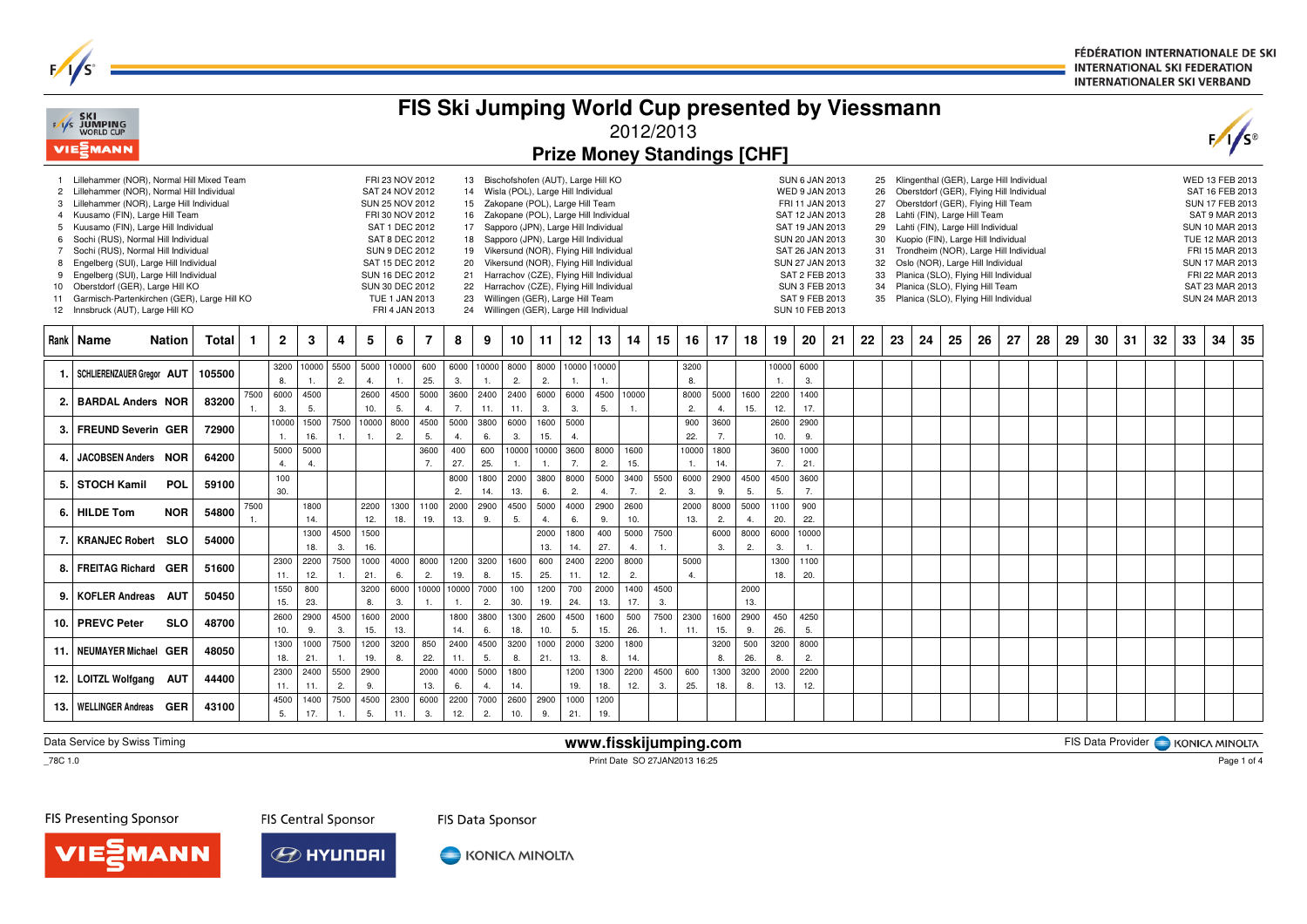FÉDÉRATION INTERNATIONALE DE SKI **INTERNATIONAL SKI FEDERATION INTERNATIONALER SKI VERBAND** 

|                                                      | <b>FAS SKI<br/>FAS JUMPING</b><br>WORLD CUP<br><b>VIE</b> <sup>MANN</sup>                                                                                                                                                                                                                                                                                                                                                                                                                                |               |        |            |              |                              |                        |                       |                                                                                                                                                                                                                                           |             |                            |             |             |                                                                                                                    |             |                                                                                                                                                                                                                                                                                                                                                                                               | 2012/2013   |                        |             |             | FIS Ski Jumping World Cup presented by Viessmann<br><b>Prize Money Standings [CHF]</b> |             |                                                                                                                                                                                                                                    |    |    |                                                          |    |                                                                                                                                                                                                                                                                                                                                                                                                                                             |    |    |    |    |    |    |    |    | F/I                                                                                                                                                                                                                 |    |
|------------------------------------------------------|----------------------------------------------------------------------------------------------------------------------------------------------------------------------------------------------------------------------------------------------------------------------------------------------------------------------------------------------------------------------------------------------------------------------------------------------------------------------------------------------------------|---------------|--------|------------|--------------|------------------------------|------------------------|-----------------------|-------------------------------------------------------------------------------------------------------------------------------------------------------------------------------------------------------------------------------------------|-------------|----------------------------|-------------|-------------|--------------------------------------------------------------------------------------------------------------------|-------------|-----------------------------------------------------------------------------------------------------------------------------------------------------------------------------------------------------------------------------------------------------------------------------------------------------------------------------------------------------------------------------------------------|-------------|------------------------|-------------|-------------|----------------------------------------------------------------------------------------|-------------|------------------------------------------------------------------------------------------------------------------------------------------------------------------------------------------------------------------------------------|----|----|----------------------------------------------------------|----|---------------------------------------------------------------------------------------------------------------------------------------------------------------------------------------------------------------------------------------------------------------------------------------------------------------------------------------------------------------------------------------------------------------------------------------------|----|----|----|----|----|----|----|----|---------------------------------------------------------------------------------------------------------------------------------------------------------------------------------------------------------------------|----|
| 3<br>6<br>$\overline{7}$<br>8<br>9<br>10<br>11<br>12 | Lillehammer (NOR), Normal Hill Mixed Team<br>2 Lillehammer (NOR), Normal Hill Individual<br>Lillehammer (NOR), Large Hill Individual<br>4 Kuusamo (FIN), Large Hill Team<br>5 Kuusamo (FIN), Large Hill Individual<br>Sochi (RUS), Normal Hill Individual<br>Sochi (RUS), Normal Hill Individual<br>Engelberg (SUI), Large Hill Individual<br>Engelberg (SUI), Large Hill Individual<br>Oberstdorf (GER), Large Hill KO<br>Garmisch-Partenkirchen (GER), Large Hill KO<br>Innsbruck (AUT), Large Hill KO |               |        |            |              |                              |                        |                       | FRI 23 NOV 2012<br>SAT 24 NOV 2012<br>SUN 25 NOV 2012<br>FRI 30 NOV 2012<br>SAT 1 DEC 2012<br>SAT 8 DEC 2012<br><b>SUN 9 DEC 2012</b><br>SAT 15 DEC 2012<br><b>SUN 16 DEC 2012</b><br>SUN 30 DEC 2012<br>TUE 1 JAN 2013<br>FRI 4 JAN 2013 |             | 13<br>16<br>17<br>18<br>22 |             |             | 14 Wisla (POL), Large Hill Individual<br>15 Zakopane (POL), Large Hill Team<br>23 Willingen (GER), Large Hill Team |             | Bischofshofen (AUT), Large Hill KO<br>Zakopane (POL), Large Hill Individual<br>Sapporo (JPN), Large Hill Individual<br>Sapporo (JPN), Large Hill Individual<br>19 Vikersund (NOR), Flying Hill Individual<br>20 Vikersund (NOR), Flying Hill Individual<br>21 Harrachov (CZE), Flying Hill Individual<br>Harrachov (CZE), Flying Hill Individual<br>24 Willingen (GER), Large Hill Individual |             |                        |             |             |                                                                                        |             | SUN 6 JAN 2013<br>WED 9 JAN 2013<br>FRI 11 JAN 2013<br>SAT 12 JAN 2013<br>SAT 19 JAN 2013<br>SUN 20 JAN 2013<br>SAT 26 JAN 2013<br>SUN 27 JAN 2013<br>SAT 2 FEB 2013<br><b>SUN 3 FEB 2013</b><br>SAT 9 FEB 2013<br>SUN 10 FEB 2013 |    | 31 | 25<br>26<br>27<br>28<br>29<br>30<br>32<br>33<br>34<br>35 |    | Klingenthal (GER), Large Hill Individual<br>Oberstdorf (GER), Flying Hill Individual<br>Oberstdorf (GER), Flying Hill Team<br>Lahti (FIN), Large Hill Team<br>Lahti (FIN), Large Hill Individual<br>Kuopio (FIN), Large Hill Individual<br>Trondheim (NOR), Large Hill Individual<br>Oslo (NOR), Large Hill Individual<br>Planica (SLO), Flying Hill Individual<br>Planica (SLO), Flying Hill Team<br>Planica (SLO), Flying Hill Individual |    |    |    |    |    |    |    |    | WED 13 FEB 2013<br>SAT 16 FEB 2013<br>SUN 17 FEB 2013<br>SAT 9 MAR 2013<br>SUN 10 MAR 2013<br>TUE 12 MAR 2013<br>FRI 15 MAR 2013<br><b>SUN 17 MAR 2013</b><br>FRI 22 MAR 2013<br>SAT 23 MAR 2013<br>SUN 24 MAR 2013 |    |
|                                                      | Rank   Name                                                                                                                                                                                                                                                                                                                                                                                                                                                                                              | <b>Nation</b> | Total  | 1.         | $\mathbf{2}$ | 3                            | 4                      | 5                     | 6                                                                                                                                                                                                                                         | 7           | 8                          | 9           | 10          | 11                                                                                                                 | 12          | 13                                                                                                                                                                                                                                                                                                                                                                                            | 14          | 15                     | 16          | 17          | 18                                                                                     | 19          | 20                                                                                                                                                                                                                                 | 21 | 22 | 23                                                       | 24 | 25                                                                                                                                                                                                                                                                                                                                                                                                                                          | 26 | 27 | 28 | 29 | 30 | 31 | 32 | 33 | 34                                                                                                                                                                                                                  | 35 |
| 1.                                                   | SCHLIERENZAUER Gregor AUT                                                                                                                                                                                                                                                                                                                                                                                                                                                                                |               | 105500 |            | 8.           | 3200 10000<br>$\overline{1}$ | 5500<br>2.             | 5000<br>4.            | 10000<br>1.                                                                                                                                                                                                                               | 600<br>25.  | 6000<br>3.                 | 10000<br>1. | 8000<br>2.  | 8000<br>2.                                                                                                         | 1.          | 10000 10000                                                                                                                                                                                                                                                                                                                                                                                   |             |                        | 3200<br>8.  |             |                                                                                        | 10000<br>1. | 6000<br>3.                                                                                                                                                                                                                         |    |    |                                                          |    |                                                                                                                                                                                                                                                                                                                                                                                                                                             |    |    |    |    |    |    |    |    |                                                                                                                                                                                                                     |    |
| 2.                                                   | <b>BARDAL Anders NOR</b>                                                                                                                                                                                                                                                                                                                                                                                                                                                                                 |               | 83200  | 7500<br>1. | 6000<br>3.   | 4500<br>5.                   |                        | 2600<br>10.           | 4500<br>5.                                                                                                                                                                                                                                | 5000<br>4.  | 3600<br>7.                 | 2400<br>11. | 2400<br>11. | 6000<br>3.                                                                                                         | 6000<br>3.  | 4500<br>5.                                                                                                                                                                                                                                                                                                                                                                                    | 10000<br>1. |                        | 8000<br>2.  | 5000<br>4.  | 1600<br>15.                                                                            | 2200<br>12. | 1400<br>17.                                                                                                                                                                                                                        |    |    |                                                          |    |                                                                                                                                                                                                                                                                                                                                                                                                                                             |    |    |    |    |    |    |    |    |                                                                                                                                                                                                                     |    |
| 3.                                                   | <b>FREUND Severin GER</b>                                                                                                                                                                                                                                                                                                                                                                                                                                                                                |               | 72900  |            | 10000<br>1.  | 1500<br>16.                  | 7500<br>$\mathbf{1}$   | 10000<br>$\mathbf{1}$ | 8000<br>2.                                                                                                                                                                                                                                | 4500<br>5.  | 5000<br>$\overline{4}$     | 3800<br>6.  | 6000<br>3.  | 1600<br>15.                                                                                                        | 5000<br>4.  |                                                                                                                                                                                                                                                                                                                                                                                               |             |                        | 900<br>22.  | 3600<br>7.  |                                                                                        | 2600<br>10. | 2900<br>9.                                                                                                                                                                                                                         |    |    |                                                          |    |                                                                                                                                                                                                                                                                                                                                                                                                                                             |    |    |    |    |    |    |    |    |                                                                                                                                                                                                                     |    |
| 4.                                                   | JACOBSEN Anders NOR                                                                                                                                                                                                                                                                                                                                                                                                                                                                                      |               | 64200  |            | 5000<br>4.   | 5000<br>$\overline{4}$       |                        |                       |                                                                                                                                                                                                                                           | 3600<br>7.  | 400<br>27.                 | 600<br>25.  | 0000<br>1.  | 0000<br>1.                                                                                                         | 3600<br>7.  | 8000<br>2.                                                                                                                                                                                                                                                                                                                                                                                    | 1600<br>15. |                        | 10000       | 1800<br>14. |                                                                                        | 3600<br>7.  | 1000<br>21.                                                                                                                                                                                                                        |    |    |                                                          |    |                                                                                                                                                                                                                                                                                                                                                                                                                                             |    |    |    |    |    |    |    |    |                                                                                                                                                                                                                     |    |
| 5.                                                   | <b>STOCH Kamil</b>                                                                                                                                                                                                                                                                                                                                                                                                                                                                                       | POL           | 59100  |            | 100<br>30.   |                              |                        |                       |                                                                                                                                                                                                                                           |             | 8000<br>2.                 | 1800<br>14. | 2000<br>13. | 3800<br>6.                                                                                                         | 8000<br>2.  | 5000<br>$\mathbf{4}$                                                                                                                                                                                                                                                                                                                                                                          | 3400<br>7.  | 5500<br>2.             | 6000<br>3.  | 2900<br>9.  | 4500<br>5.                                                                             | 4500<br>5.  | 3600<br>7.                                                                                                                                                                                                                         |    |    |                                                          |    |                                                                                                                                                                                                                                                                                                                                                                                                                                             |    |    |    |    |    |    |    |    |                                                                                                                                                                                                                     |    |
|                                                      | 6. HILDE Tom                                                                                                                                                                                                                                                                                                                                                                                                                                                                                             | <b>NOR</b>    | 54800  | 7500       |              | 1800<br>14.                  |                        | 2200<br>12.           | 1300<br>18.                                                                                                                                                                                                                               | 1100<br>19. | 2000<br>13.                | 2900<br>9.  | 4500<br>5.  | 5000<br>4.                                                                                                         | 4000<br>6.  | 2900<br>9.                                                                                                                                                                                                                                                                                                                                                                                    | 2600<br>10. |                        | 2000<br>13. | 8000<br>2.  | 5000                                                                                   | 1100<br>20. | 900<br>22.                                                                                                                                                                                                                         |    |    |                                                          |    |                                                                                                                                                                                                                                                                                                                                                                                                                                             |    |    |    |    |    |    |    |    |                                                                                                                                                                                                                     |    |
| 7.                                                   | <b>KRANJEC Robert</b>                                                                                                                                                                                                                                                                                                                                                                                                                                                                                    | <b>SLO</b>    | 54000  |            |              | 1300<br>18.                  | 4500<br>3.             | 1500<br>16.           |                                                                                                                                                                                                                                           |             |                            |             |             | 2000<br>13.                                                                                                        | 1800<br>14. | 400<br>27.                                                                                                                                                                                                                                                                                                                                                                                    | 5000<br>4.  | 7500<br>$\mathbf{1}$ . |             | 6000<br>3.  | 8000<br>2.                                                                             | 6000<br>3.  | 10000<br>1.                                                                                                                                                                                                                        |    |    |                                                          |    |                                                                                                                                                                                                                                                                                                                                                                                                                                             |    |    |    |    |    |    |    |    |                                                                                                                                                                                                                     |    |
| 8.                                                   | <b>FREITAG Richard</b>                                                                                                                                                                                                                                                                                                                                                                                                                                                                                   | <b>GER</b>    | 51600  |            | 2300<br>11.  | 2200<br>12.                  | 7500                   | 1000<br>21.           | 4000<br>6.                                                                                                                                                                                                                                | 8000<br>2.  | 1200<br>19.                | 3200<br>8.  | 1600<br>15. | 600<br>25.                                                                                                         | 2400<br>11. | 2200<br>12.                                                                                                                                                                                                                                                                                                                                                                                   | 8000<br>2.  |                        | 5000<br>4.  |             |                                                                                        | 1300<br>18. | 1100<br>20.                                                                                                                                                                                                                        |    |    |                                                          |    |                                                                                                                                                                                                                                                                                                                                                                                                                                             |    |    |    |    |    |    |    |    |                                                                                                                                                                                                                     |    |
| 9.                                                   | <b>KOFLER Andreas</b>                                                                                                                                                                                                                                                                                                                                                                                                                                                                                    | <b>AUT</b>    | 50450  |            | 1550         | 800                          |                        | 3200                  | 6000                                                                                                                                                                                                                                      |             | 10000 10000                | 7000        | 100         | 1200                                                                                                               | 700         | 2000                                                                                                                                                                                                                                                                                                                                                                                          | 1400        | 4500                   |             |             | 2000                                                                                   |             |                                                                                                                                                                                                                                    |    |    |                                                          |    |                                                                                                                                                                                                                                                                                                                                                                                                                                             |    |    |    |    |    |    |    |    |                                                                                                                                                                                                                     |    |
|                                                      | 10.   PREVC Peter                                                                                                                                                                                                                                                                                                                                                                                                                                                                                        | <b>SLO</b>    | 48700  |            | 15.<br>2600  | 23.<br>2900                  | 4500                   | 8.<br>1600            | 3.<br>2000                                                                                                                                                                                                                                |             | $\overline{1}$<br>1800     | 2.<br>3800  | 30.<br>1300 | 19.<br>2600                                                                                                        | 24.<br>4500 | 13.<br>1600                                                                                                                                                                                                                                                                                                                                                                                   | 17.<br>500  | 3.<br>7500             | 2300        | 1600        | 13.<br>2900                                                                            | 450         | 4250                                                                                                                                                                                                                               |    |    |                                                          |    |                                                                                                                                                                                                                                                                                                                                                                                                                                             |    |    |    |    |    |    |    |    |                                                                                                                                                                                                                     |    |
| 11.                                                  | <b>NEUMAYER Michael GER</b>                                                                                                                                                                                                                                                                                                                                                                                                                                                                              |               | 48050  |            | 10.<br>1300  | 9.<br>1000                   | 3.<br>7500             | 15.<br>1200           | 13.<br>3200                                                                                                                                                                                                                               | 850         | 14.<br>2400                | 6.<br>4500  | 18.<br>3200 | 10.<br>1000                                                                                                        | 5.<br>2000  | 15.<br>3200                                                                                                                                                                                                                                                                                                                                                                                   | 26.<br>1800 | $\mathbf{1}$ .         | 11.         | 15.<br>3200 | 9.<br>500                                                                              | 26.<br>3200 | 5.<br>8000                                                                                                                                                                                                                         |    |    |                                                          |    |                                                                                                                                                                                                                                                                                                                                                                                                                                             |    |    |    |    |    |    |    |    |                                                                                                                                                                                                                     |    |
|                                                      |                                                                                                                                                                                                                                                                                                                                                                                                                                                                                                          |               |        |            | 18.<br>2300  | 21.<br>2400                  | $\overline{1}$<br>5500 | 19.<br>2900           | 8.                                                                                                                                                                                                                                        | 22.<br>2000 | 11.<br>4000                | 5.<br>5000  | 8.<br>1800  | 21.                                                                                                                | 13.<br>1200 | 8.<br>1300                                                                                                                                                                                                                                                                                                                                                                                    | 14.<br>2200 | 4500                   | 600         | 8.<br>1300  | 26.<br>3200                                                                            | 8.<br>2000  | 2.<br>2200                                                                                                                                                                                                                         |    |    |                                                          |    |                                                                                                                                                                                                                                                                                                                                                                                                                                             |    |    |    |    |    |    |    |    |                                                                                                                                                                                                                     |    |
| 12.                                                  | LOITZL Wolfgang AUT                                                                                                                                                                                                                                                                                                                                                                                                                                                                                      |               | 44400  |            | 11.<br>4500  | 11.<br>1400                  | 2.<br>7500             | 9.<br>4500            | 2300                                                                                                                                                                                                                                      | 13.<br>6000 | 6.<br>2200                 | 4.<br>7000  | 14.<br>2600 | 2900                                                                                                               | 19.<br>1000 | 18.<br>1200                                                                                                                                                                                                                                                                                                                                                                                   | 12.         | 3.                     | 25.         | 18.         | 8.                                                                                     | 13.         | 12.                                                                                                                                                                                                                                |    |    |                                                          |    |                                                                                                                                                                                                                                                                                                                                                                                                                                             |    |    |    |    |    |    |    |    |                                                                                                                                                                                                                     |    |
| 13.                                                  | <b>WELLINGER Andreas GER</b>                                                                                                                                                                                                                                                                                                                                                                                                                                                                             |               | 43100  |            | 5.           | 17.                          | 1.                     | 5.                    | 11.                                                                                                                                                                                                                                       | 3.          | 12.                        | 2.          | 10.         | 9.                                                                                                                 | 21.         | 19.                                                                                                                                                                                                                                                                                                                                                                                           |             |                        |             |             |                                                                                        |             |                                                                                                                                                                                                                                    |    |    |                                                          |    |                                                                                                                                                                                                                                                                                                                                                                                                                                             |    |    |    |    |    |    |    |    |                                                                                                                                                                                                                     |    |

Data Service by Swiss Timing

 $\overline{\phantom{0}}$  78C 1.0

 $F/I/S^c$ 

 **www.fisskijumping.com**Print Date SO 27JAN2013 16:25

FIS Data Provider | KONICA MINOLTA

FIS Presenting Sponsor

**FIS Central Sponsor** 

FIS Data Sponsor





KONICA MINOLTA

Page 1 of 4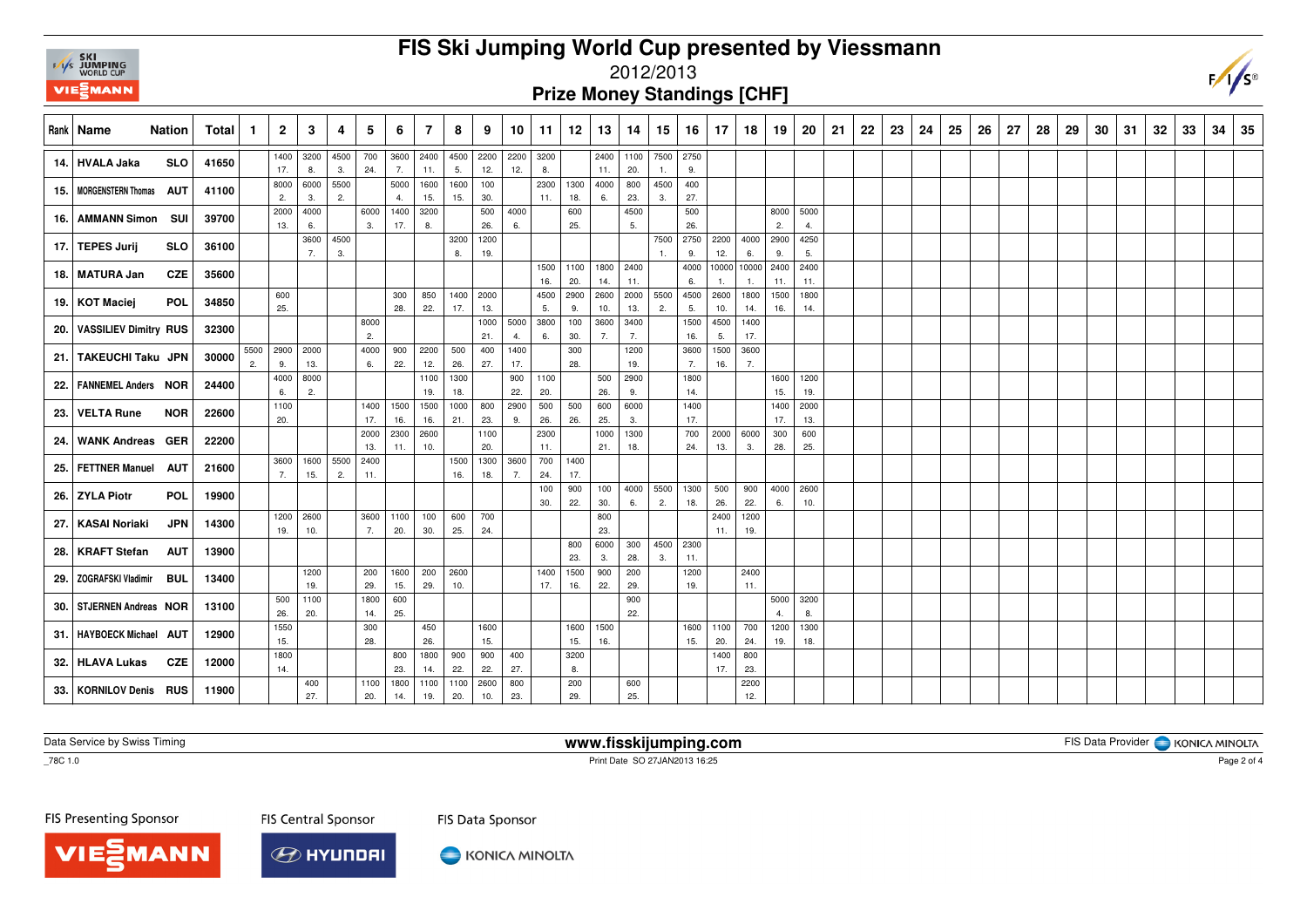

## **FIS Ski Jumping World Cup presented by Viessmann**

## 2012/2013

**Prize Money Standings [CHF]**

| Rank   Name                 | <b>Nation</b> | Total |    | $\overline{2}$ | 3          | 4    | 5           | 6           |             | 8           | 9           | 10          | 11          | 12          | 13         | 14         | 15        | 16          | 17    | 18             | 19          | 20          | 21 | 22 | 23 | 24 | 25 | 26 | 27 | 28 | 29 | 30 | -31 | 32 | 33 | 34 | -35 |
|-----------------------------|---------------|-------|----|----------------|------------|------|-------------|-------------|-------------|-------------|-------------|-------------|-------------|-------------|------------|------------|-----------|-------------|-------|----------------|-------------|-------------|----|----|----|----|----|----|----|----|----|----|-----|----|----|----|-----|
| 14. HVALA Jaka              | <b>SLO</b>    | 41650 |    | 1400           | 3200       | 4500 | 700         | 3600        | 2400        | 4500        | 2200        | 2200        | 3200        |             | 2400       | 1100       | 7500 2750 |             |       |                |             |             |    |    |    |    |    |    |    |    |    |    |     |    |    |    |     |
|                             |               |       |    | 17.            | 8.         | 3.   | 24.         | 7.          | 11.         | 5.          | 12.         | 12.         | 8.          |             | 11.        | 20.        | 1.        | 9.          |       |                |             |             |    |    |    |    |    |    |    |    |    |    |     |    |    |    |     |
| 15.   MORGENSTERN Thomas    | <b>AUT</b>    | 41100 |    | 8000           | 6000       | 5500 |             | 5000        | 1600        | 1600        | 100         |             | 2300        | 1300        | 4000       | 800        | 4500      | 400         |       |                |             |             |    |    |    |    |    |    |    |    |    |    |     |    |    |    |     |
|                             |               |       |    | 2.             | 3.         | 2.   |             | 4.          | 15.         | 15.         | 30.         |             | 11.         | 18.         | 6.         | 23.        | 3.        | 27.         |       |                |             |             |    |    |    |    |    |    |    |    |    |    |     |    |    |    |     |
| 16.   AMMANN Simon SUI      |               | 39700 |    | 2000           | 4000       |      | 6000        | 1400        | 3200        |             | 500         | 4000        |             | 600         |            | 4500       |           | 500         |       |                | 8000        | 5000<br>4.  |    |    |    |    |    |    |    |    |    |    |     |    |    |    |     |
|                             |               |       |    | 13.            | 6.<br>3600 | 4500 | 3.          | 17.         | 8.          | 3200        | 26.<br>1200 | 6.          |             | 25.         |            | 5.         | 7500      | 26.<br>2750 | 2200  | 4000           | 2.<br>2900  | 4250        |    |    |    |    |    |    |    |    |    |    |     |    |    |    |     |
| 17. TEPES Jurij             | <b>SLO</b>    | 36100 |    |                | 7.         | 3.   |             |             |             | 8.          | 19.         |             |             |             |            |            |           | 9           | 12.   | 6.             | 9.          | 5.          |    |    |    |    |    |    |    |    |    |    |     |    |    |    |     |
|                             |               |       |    |                |            |      |             |             |             |             |             |             | 1500        | 1100        | 1800       | 2400       |           | 4000        | 10000 | 10000          | 2400        | 2400        |    |    |    |    |    |    |    |    |    |    |     |    |    |    |     |
| 18. MATURA Jan              | <b>CZE</b>    | 35600 |    |                |            |      |             |             |             |             |             |             | 16.         | 20.         | 14.        | 11.        |           | 6.          |       | $\mathbf{1}$ . | 11.         | 11.         |    |    |    |    |    |    |    |    |    |    |     |    |    |    |     |
|                             | <b>POL</b>    | 34850 |    | 600            |            |      |             | 300         | 850         | 1400        | 2000        |             | 4500        | 2900        | 2600       | 2000       | 5500      | 4500        | 2600  | 1800           | 1500        | 1800        |    |    |    |    |    |    |    |    |    |    |     |    |    |    |     |
| 19. KOT Maciej              |               |       |    | 25.            |            |      |             | 28.         | 22.         | 17.         | 13.         |             | 5.          | 9.          | 10.        | 13.        | 2.        | 5.          | 10.   | 14.            | 16.         | 14.         |    |    |    |    |    |    |    |    |    |    |     |    |    |    |     |
| 20.   VASSILIEV Dimitry RUS |               | 32300 |    |                |            |      | 8000        |             |             |             | 1000        | 5000        | 3800        | 100         | 3600       | 3400       |           | 1500        | 4500  | 1400           |             |             |    |    |    |    |    |    |    |    |    |    |     |    |    |    |     |
|                             |               |       |    |                |            |      | 2.          |             |             |             | 21.         | 4.          | 6.          | 30.         | 7.         | 7.         |           | 16.         | 5.    | 17.            |             |             |    |    |    |    |    |    |    |    |    |    |     |    |    |    |     |
| 21. TAKEUCHI Taku JPN       |               | 30000 |    | 5500 2900      | 2000       |      | 4000        | 900         | 2200        | 500         | 400         | 1400        |             | 300         |            | 1200       |           | 3600        | 1500  | 3600           |             |             |    |    |    |    |    |    |    |    |    |    |     |    |    |    |     |
|                             |               |       | 2. | 9.             | 13.        |      | 6.          | 22.         | 12.         | 26.         | 27.         | 17.         |             | 28.         |            | 19.        |           | 7.          | 16.   | 7.             |             |             |    |    |    |    |    |    |    |    |    |    |     |    |    |    |     |
| 22.   FANNEMEL Anders NOR   |               | 24400 |    | 4000           | 8000       |      |             |             | 1100<br>19. | 1300        |             | 900         | 1100<br>20. |             | 500<br>26. | 2900<br>9. |           | 1800<br>14. |       |                | 1600        | 1200        |    |    |    |    |    |    |    |    |    |    |     |    |    |    |     |
|                             |               |       |    | 6.<br>1100     | 2.         |      | 1400        | 1500        | 1500        | 18.<br>1000 | 800         | 22.<br>2900 | 500         | 500         | 600        | 6000       |           | 1400        |       |                | 15.<br>1400 | 19.<br>2000 |    |    |    |    |    |    |    |    |    |    |     |    |    |    |     |
| 23. VELTA Rune              | <b>NOR</b>    | 22600 |    | 20.            |            |      | 17.         | 16.         | 16.         | 21.         | 23.         | 9.          | 26.         | 26.         | 25.        | 3.         |           | 17.         |       |                | 17.         | 13.         |    |    |    |    |    |    |    |    |    |    |     |    |    |    |     |
|                             |               |       |    |                |            |      | 2000        | 2300        | 2600        |             | 1100        |             | 2300        |             | 1000       | 1300       |           | 700         | 2000  | 6000           | 300         | 600         |    |    |    |    |    |    |    |    |    |    |     |    |    |    |     |
| 24. WANK Andreas GER        |               | 22200 |    |                |            |      | 13.         | 11.         | 10.         |             | 20.         |             | 11.         |             | 21.        | 18.        |           | 24.         | 13.   | 3.             | 28.         | 25.         |    |    |    |    |    |    |    |    |    |    |     |    |    |    |     |
|                             |               |       |    | 3600           | 1600       | 5500 | 2400        |             |             | 1500        | 1300        | 3600        | 700         | 1400        |            |            |           |             |       |                |             |             |    |    |    |    |    |    |    |    |    |    |     |    |    |    |     |
| 25.   FETTNER Manuel AUT    |               | 21600 |    | 7.             | 15.        | 2.   | 11.         |             |             | 16.         | 18.         | 7.          | 24.         | 17.         |            |            |           |             |       |                |             |             |    |    |    |    |    |    |    |    |    |    |     |    |    |    |     |
| 26. ZYLA Piotr              | POL           | 19900 |    |                |            |      |             |             |             |             |             |             | 100         | 900         | 100        | 4000       | 5500      | 1300        | 500   | 900            | 4000        | 2600        |    |    |    |    |    |    |    |    |    |    |     |    |    |    |     |
|                             |               |       |    |                |            |      |             |             |             |             |             |             | 30.         | 22.         | 30.        | 6.         | 2.        | 18.         | 26.   | 22.            | 6.          | 10.         |    |    |    |    |    |    |    |    |    |    |     |    |    |    |     |
| 27.   KASAI Noriaki         | <b>JPN</b>    | 14300 |    | 1200           | 2600       |      | 3600        | 1100        | 100         | 600         | 700         |             |             |             | 800        |            |           |             | 2400  | 1200           |             |             |    |    |    |    |    |    |    |    |    |    |     |    |    |    |     |
|                             |               |       |    | 19.            | 10.        |      | 7.          | 20.         | 30.         | 25.         | 24.         |             |             |             | 23.        |            |           |             | 11.   | 19.            |             |             |    |    |    |    |    |    |    |    |    |    |     |    |    |    |     |
| 28.   KRAFT Stefan          | <b>AUT</b>    | 13900 |    |                |            |      |             |             |             |             |             |             |             | 800         | 6000       | 300        | 4500      | 2300<br>11. |       |                |             |             |    |    |    |    |    |    |    |    |    |    |     |    |    |    |     |
|                             |               |       |    |                | 1200       |      | 200         | 1600        | 200         | 2600        |             |             | 1400        | 23.<br>1500 | 3.<br>900  | 28.<br>200 | 3.        | 1200        |       | 2400           |             |             |    |    |    |    |    |    |    |    |    |    |     |    |    |    |     |
| 29. ZOGRAFSKI Vladimir      | BUL           | 13400 |    |                | 19.        |      | 29.         | 15.         | 29.         | 10.         |             |             | 17.         | 16.         | 22.        | 29.        |           | 19.         |       | 11.            |             |             |    |    |    |    |    |    |    |    |    |    |     |    |    |    |     |
|                             |               |       |    | 500            | 1100       |      | 1800        | 600         |             |             |             |             |             |             |            | 900        |           |             |       |                | 5000        | 3200        |    |    |    |    |    |    |    |    |    |    |     |    |    |    |     |
| 30. STJERNEN Andreas NOR    |               | 13100 |    | 26.            | 20.        |      | 14.         | 25.         |             |             |             |             |             |             |            | 22.        |           |             |       |                | 4.          | 8.          |    |    |    |    |    |    |    |    |    |    |     |    |    |    |     |
|                             |               |       |    | 1550           |            |      | 300         |             | 450         |             | 1600        |             |             | 1600        | 1500       |            |           | 1600        | 1100  | 700            | 1200        | 1300        |    |    |    |    |    |    |    |    |    |    |     |    |    |    |     |
| 31.   HAYBOECK Michael AUT  |               | 12900 |    | 15.            |            |      | 28.         |             | 26.         |             | 15.         |             |             | 15.         | 16.        |            |           | 15.         | 20.   | 24.            | 19.         | 18.         |    |    |    |    |    |    |    |    |    |    |     |    |    |    |     |
| 32. HLAVA Lukas             | <b>CZE</b>    | 12000 |    | 1800           |            |      |             | 800         | 1800        | 900         | 900         | 400         |             | 3200        |            |            |           |             | 1400  | 800            |             |             |    |    |    |    |    |    |    |    |    |    |     |    |    |    |     |
|                             |               |       |    | 14.            |            |      |             | 23.         | 14.         | 22.         | 22.         | 27.         |             | 8.          |            |            |           |             | 17.   | 23.            |             |             |    |    |    |    |    |    |    |    |    |    |     |    |    |    |     |
| 33.   KORNILOV Denis RUS    |               | 11900 |    |                | 400<br>27. |      | 1100<br>20. | 1800<br>14. | 1100<br>19. | 1100<br>20. | 2600<br>10. | 800<br>23.  |             | 200<br>29.  |            | 600<br>25. |           |             |       | 2200<br>12.    |             |             |    |    |    |    |    |    |    |    |    |    |     |    |    |    |     |

Data Service by Swiss Timing

**www.fisskijumping.com**

FIS Data Provider | KONICA MINOLTA

 $\overline{\text{--}78C}$  1.0

Print Date SO 27JAN2013 16:25

FIS Presenting Sponsor

**MANN** 

**FIS Central Sponsor** 



KONICA MINOLTA

FIS Data Sponsor

Page 2 of 4

 $F/\sqrt{s^{\circ}}$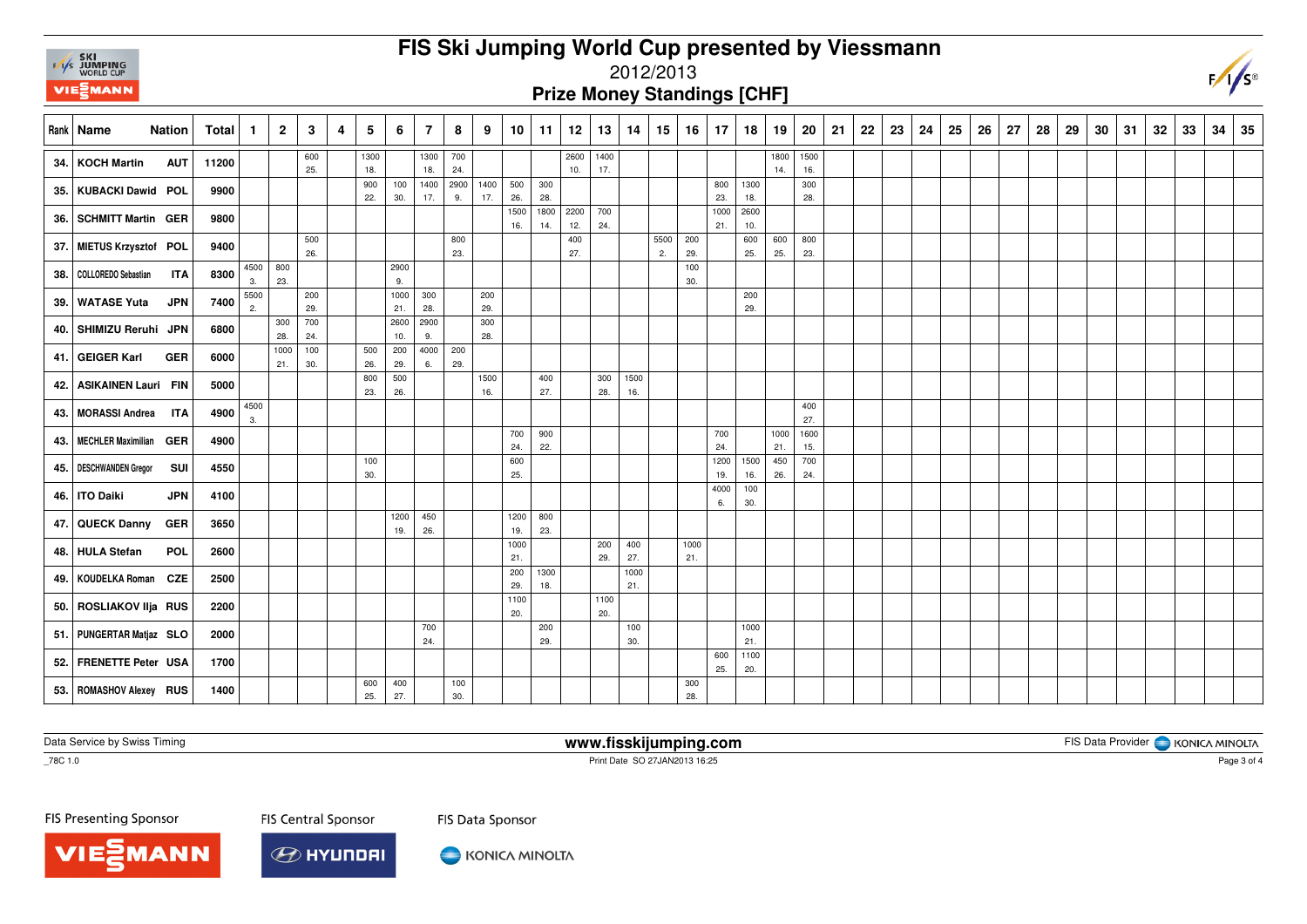## **FIS Ski Jumping World Cup presented by Viessmann**



## 2012/2013

**Prize Money Standings [CHF]**

|      | Rank   Name                  | <b>Nation</b> | Total | $\mathbf 1$ | $\mathbf{2}$ | 3          | $\overline{4}$ | 5          | 6          | $\overline{7}$ | 8           | 9           | 10 <sup>1</sup> | 11          | 12          | 13         | 14          | 15         | 16          | $\vert$ 17  | 18          | 19          | 20          | 21 | 22 | 23 | 24 | 25 | 26 | 27 | 28 | 29 | 30 | 31 | 32 | 33 | 34 | 35 |
|------|------------------------------|---------------|-------|-------------|--------------|------------|----------------|------------|------------|----------------|-------------|-------------|-----------------|-------------|-------------|------------|-------------|------------|-------------|-------------|-------------|-------------|-------------|----|----|----|----|----|----|----|----|----|----|----|----|----|----|----|
|      | 34. KOCH Martin              | <b>AUT</b>    | 11200 |             |              | 600        |                | 1300       |            | 1300           | 700         |             |                 |             | 2600        | 1400       |             |            |             |             |             | 1800        | 1500        |    |    |    |    |    |    |    |    |    |    |    |    |    |    |    |
|      |                              |               |       |             |              | 25.        |                | 18.<br>900 | 100        | 18.<br>1400    | 24.<br>2900 | 1400        | 500             | 300         | 10.         | 17.        |             |            |             | 800         | 1300        | 14.         | 16.<br>300  |    |    |    |    |    |    |    |    |    |    |    |    |    |    |    |
|      | 35. KUBACKI Dawid POL        |               | 9900  |             |              |            |                | 22.        | 30.        | 17.            | 9.          | 17.         | 26.             | 28.         |             |            |             |            |             | 23.         | 18.         |             | 28.         |    |    |    |    |    |    |    |    |    |    |    |    |    |    |    |
|      | 36. SCHMITT Martin GER       |               | 9800  |             |              |            |                |            |            |                |             |             | 1500<br>16.     | 1800<br>14. | 2200<br>12. | 700<br>24. |             |            |             | 1000<br>21. | 2600<br>10. |             |             |    |    |    |    |    |    |    |    |    |    |    |    |    |    |    |
|      | 37. MIETUS Krzysztof POL     |               | 9400  |             |              | 500<br>26. |                |            |            |                | 800<br>23.  |             |                 |             | 400<br>27.  |            |             | 5500<br>2. | 200<br>29.  |             | 600<br>25.  | 600<br>25.  | 800<br>23.  |    |    |    |    |    |    |    |    |    |    |    |    |    |    |    |
|      | 38.   COLLOREDO Sebastian    | <b>ITA</b>    | 8300  | 4500<br>3.  | 800<br>23.   |            |                |            | 2900       |                |             |             |                 |             |             |            |             |            | 100         |             |             |             |             |    |    |    |    |    |    |    |    |    |    |    |    |    |    |    |
|      |                              |               |       | 5500        |              | 200        |                |            | 9.<br>1000 | 300            |             | 200         |                 |             |             |            |             |            | 30.         |             | 200         |             |             |    |    |    |    |    |    |    |    |    |    |    |    |    |    |    |
| 39.1 | <b>WATASE Yuta</b>           | <b>JPN</b>    | 7400  | 2.          |              | 29.        |                |            | 21.        | 28.            |             | 29.         |                 |             |             |            |             |            |             |             | 29.         |             |             |    |    |    |    |    |    |    |    |    |    |    |    |    |    |    |
|      | 40. SHIMIZU Reruhi JPN       |               | 6800  |             | 300          | 700        |                |            | 2600       | 2900           |             | 300         |                 |             |             |            |             |            |             |             |             |             |             |    |    |    |    |    |    |    |    |    |    |    |    |    |    |    |
|      |                              |               |       |             | 28.<br>1000  | 24.<br>100 |                | 500        | 10.<br>200 | 9.<br>4000     | 200         | 28.         |                 |             |             |            |             |            |             |             |             |             |             |    |    |    |    |    |    |    |    |    |    |    |    |    |    |    |
|      | 41. GEIGER Karl              | <b>GER</b>    | 6000  |             | 21.          | 30.        |                | 26.        | 29.        | 6.             | 29.         |             |                 |             |             |            |             |            |             |             |             |             |             |    |    |    |    |    |    |    |    |    |    |    |    |    |    |    |
| 42.  | ASIKAINEN Lauri FIN          |               | 5000  |             |              |            |                | 800<br>23. | 500<br>26. |                |             | 1500<br>16. |                 | 400<br>27.  |             | 300<br>28. | 1500<br>16. |            |             |             |             |             |             |    |    |    |    |    |    |    |    |    |    |    |    |    |    |    |
|      |                              |               |       | 4500        |              |            |                |            |            |                |             |             |                 |             |             |            |             |            |             |             |             |             | 400         |    |    |    |    |    |    |    |    |    |    |    |    |    |    |    |
|      | 43.   MORASSI Andrea ITA     |               | 4900  | 3.          |              |            |                |            |            |                |             |             |                 |             |             |            |             |            |             |             |             |             | 27.         |    |    |    |    |    |    |    |    |    |    |    |    |    |    |    |
|      | 43.   MECHLER Maximilian GER |               | 4900  |             |              |            |                |            |            |                |             |             | 700<br>24.      | 900<br>22.  |             |            |             |            |             | 700<br>24.  |             | 1000<br>21. | 1600<br>15. |    |    |    |    |    |    |    |    |    |    |    |    |    |    |    |
|      |                              |               | 4550  |             |              |            |                | 100        |            |                |             |             | 600             |             |             |            |             |            |             | 1200        | 1500        | 450         | 700         |    |    |    |    |    |    |    |    |    |    |    |    |    |    |    |
|      | 45.   DESCHWANDEN Gregor     | SUI           |       |             |              |            |                | 30.        |            |                |             |             | 25.             |             |             |            |             |            |             | 19.         | 16.         | 26.         | 24.         |    |    |    |    |    |    |    |    |    |    |    |    |    |    |    |
|      | 46.   ITO Daiki              | <b>JPN</b>    | 4100  |             |              |            |                |            |            |                |             |             |                 |             |             |            |             |            |             | 4000<br>6.  | 100<br>30.  |             |             |    |    |    |    |    |    |    |    |    |    |    |    |    |    |    |
|      | 47. QUECK Danny              | <b>GER</b>    | 3650  |             |              |            |                |            | 1200       | 450            |             |             | 1200            | 800         |             |            |             |            |             |             |             |             |             |    |    |    |    |    |    |    |    |    |    |    |    |    |    |    |
|      |                              |               |       |             |              |            |                |            | 19.        | 26.            |             |             | 19.             | 23.         |             |            |             |            |             |             |             |             |             |    |    |    |    |    |    |    |    |    |    |    |    |    |    |    |
|      | 48. HULA Stefan              | <b>POL</b>    | 2600  |             |              |            |                |            |            |                |             |             | 1000<br>21.     |             |             | 200<br>29. | 400<br>27.  |            | 1000<br>21. |             |             |             |             |    |    |    |    |    |    |    |    |    |    |    |    |    |    |    |
|      | 49.   KOUDELKA Roman CZE     |               | 2500  |             |              |            |                |            |            |                |             |             | 200             | 1300        |             |            | 1000        |            |             |             |             |             |             |    |    |    |    |    |    |    |    |    |    |    |    |    |    |    |
|      |                              |               |       |             |              |            |                |            |            |                |             |             | 29.<br>1100     | 18.         |             | 1100       | 21.         |            |             |             |             |             |             |    |    |    |    |    |    |    |    |    |    |    |    |    |    |    |
|      | 50. ROSLIAKOV IIja RUS       |               | 2200  |             |              |            |                |            |            |                |             |             | 20.             |             |             | 20.        |             |            |             |             |             |             |             |    |    |    |    |    |    |    |    |    |    |    |    |    |    |    |
|      | 51. PUNGERTAR Matjaz SLO     |               | 2000  |             |              |            |                |            |            | 700<br>24.     |             |             |                 | 200<br>29.  |             |            | 100<br>30.  |            |             |             | 1000<br>21. |             |             |    |    |    |    |    |    |    |    |    |    |    |    |    |    |    |
|      | 52. FRENETTE Peter USA       |               | 1700  |             |              |            |                |            |            |                |             |             |                 |             |             |            |             |            |             | 600<br>25.  | 1100<br>20. |             |             |    |    |    |    |    |    |    |    |    |    |    |    |    |    |    |
|      | 53.   ROMASHOV Alexey RUS    |               | 1400  |             |              |            |                | 600<br>25. | 400<br>27. |                | 100<br>30.  |             |                 |             |             |            |             |            | 300<br>28.  |             |             |             |             |    |    |    |    |    |    |    |    |    |    |    |    |    |    |    |

Data Service by Swiss Timing

**www.fisskijumping.com**

FIS Data Provider | KONICA MINOLTA

\_78C 1.0

Print Date SO 27JAN2013 16:25

FIS Presenting Sponsor

**FIS Central Sponsor** 



KONICA MINOLTA

FIS Data Sponsor

Page 3 of 4

 $\sqrt{s}$